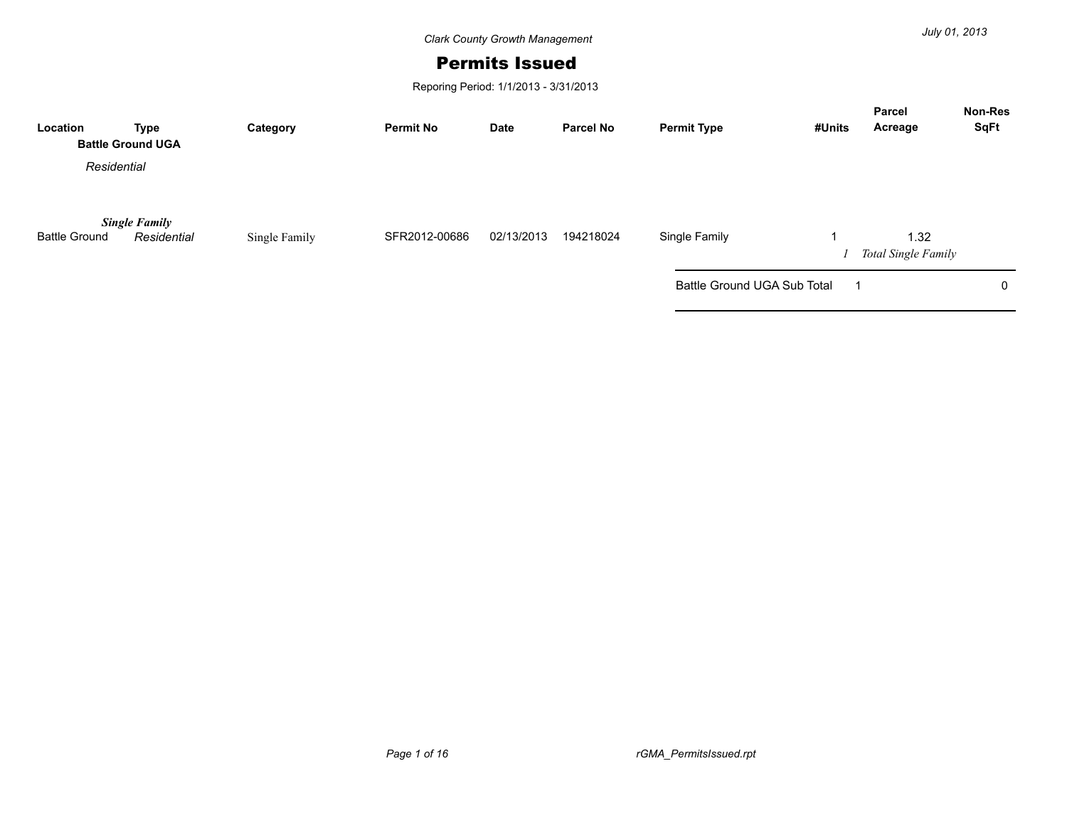*Clark County Growth Management*

## Permits Issued

Reporing Period: 1/1/2013 - 3/31/2013

| Location             | Type<br><b>Battle Ground UGA</b>    | Category      | <b>Permit No</b> | Date       | <b>Parcel No</b> | <b>Permit Type</b>          | #Units | <b>Parcel</b><br>Acreage    | <b>Non-Res</b><br><b>SqFt</b> |
|----------------------|-------------------------------------|---------------|------------------|------------|------------------|-----------------------------|--------|-----------------------------|-------------------------------|
| Residential          |                                     |               |                  |            |                  |                             |        |                             |                               |
| <b>Battle Ground</b> | <b>Single Family</b><br>Residential | Single Family | SFR2012-00686    | 02/13/2013 | 194218024        | Single Family               |        | 1.32<br>Total Single Family |                               |
|                      |                                     |               |                  |            |                  | Battle Ground UGA Sub Total |        |                             | 0                             |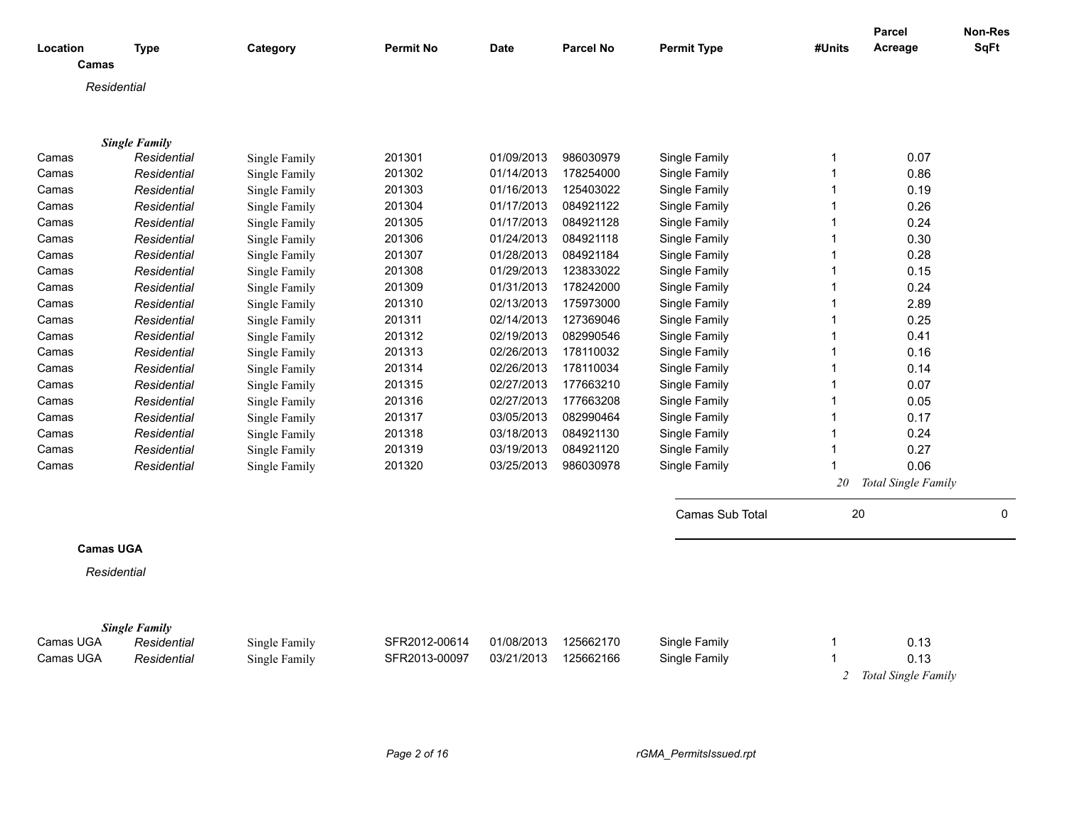| Location<br>Camas | Type                                | Category      | <b>Permit No</b> | <b>Date</b> | <b>Parcel No</b> | <b>Permit Type</b> | #Units         | Parcel<br>Acreage   | <b>Non-Res</b><br><b>SqFt</b> |
|-------------------|-------------------------------------|---------------|------------------|-------------|------------------|--------------------|----------------|---------------------|-------------------------------|
| Residential       |                                     |               |                  |             |                  |                    |                |                     |                               |
|                   |                                     |               |                  |             |                  |                    |                |                     |                               |
|                   |                                     |               |                  |             |                  |                    |                |                     |                               |
|                   | <b>Single Family</b>                |               |                  |             |                  |                    |                |                     |                               |
| Camas             | Residential                         | Single Family | 201301           | 01/09/2013  | 986030979        | Single Family      | 1              | 0.07                |                               |
| Camas             | Residential                         | Single Family | 201302           | 01/14/2013  | 178254000        | Single Family      | $\overline{1}$ | 0.86                |                               |
| Camas             | Residential                         | Single Family | 201303           | 01/16/2013  | 125403022        | Single Family      | $\overline{1}$ | 0.19                |                               |
| Camas             | Residential                         | Single Family | 201304           | 01/17/2013  | 084921122        | Single Family      | $\overline{1}$ | 0.26                |                               |
| Camas             | Residential                         | Single Family | 201305           | 01/17/2013  | 084921128        | Single Family      | $\overline{1}$ | 0.24                |                               |
| Camas             | Residential                         | Single Family | 201306           | 01/24/2013  | 084921118        | Single Family      | $\overline{1}$ | 0.30                |                               |
| Camas             | Residential                         | Single Family | 201307           | 01/28/2013  | 084921184        | Single Family      | $\overline{1}$ | 0.28                |                               |
| Camas             | Residential                         | Single Family | 201308           | 01/29/2013  | 123833022        | Single Family      | $\overline{1}$ | 0.15                |                               |
| Camas             | Residential                         | Single Family | 201309           | 01/31/2013  | 178242000        | Single Family      | $\overline{1}$ | 0.24                |                               |
| Camas             | Residential                         | Single Family | 201310           | 02/13/2013  | 175973000        | Single Family      | $\overline{1}$ | 2.89                |                               |
| Camas             | Residential                         | Single Family | 201311           | 02/14/2013  | 127369046        | Single Family      | $\overline{1}$ | 0.25                |                               |
| Camas             | Residential                         | Single Family | 201312           | 02/19/2013  | 082990546        | Single Family      | $\overline{1}$ | 0.41                |                               |
| Camas             | Residential                         | Single Family | 201313           | 02/26/2013  | 178110032        | Single Family      | $\mathbf 1$    | 0.16                |                               |
| Camas             | Residential                         | Single Family | 201314           | 02/26/2013  | 178110034        | Single Family      | $\overline{1}$ | 0.14                |                               |
| Camas             | Residential                         | Single Family | 201315           | 02/27/2013  | 177663210        | Single Family      | $\overline{1}$ | 0.07                |                               |
| Camas             | Residential                         | Single Family | 201316           | 02/27/2013  | 177663208        | Single Family      | $\overline{1}$ | 0.05                |                               |
| Camas             | Residential                         | Single Family | 201317           | 03/05/2013  | 082990464        | Single Family      | $\overline{1}$ | 0.17                |                               |
| Camas             | Residential                         | Single Family | 201318           | 03/18/2013  | 084921130        | Single Family      | $\mathbf 1$    | 0.24                |                               |
| Camas             | Residential                         | Single Family | 201319           | 03/19/2013  | 084921120        | Single Family      | $\overline{1}$ | 0.27                |                               |
| Camas             | Residential                         | Single Family | 201320           | 03/25/2013  | 986030978        | Single Family      | 1              | 0.06                |                               |
|                   |                                     |               |                  |             |                  |                    | 20             | Total Single Family |                               |
|                   |                                     |               |                  |             |                  |                    |                |                     |                               |
|                   |                                     |               |                  |             |                  | Camas Sub Total    | 20             |                     | 0                             |
| <b>Camas UGA</b>  |                                     |               |                  |             |                  |                    |                |                     |                               |
| Residential       |                                     |               |                  |             |                  |                    |                |                     |                               |
|                   |                                     |               |                  |             |                  |                    |                |                     |                               |
|                   |                                     |               |                  |             |                  |                    |                |                     |                               |
| Camas UGA         | <b>Single Family</b><br>Residential | Single Family | SFR2012-00614    | 01/08/2013  | 125662170        | Single Family      | -1             | 0.13                |                               |
| Camas UGA         | Residential                         | Single Family | SFR2013-00097    | 03/21/2013  | 125662166        | Single Family      | $\overline{1}$ | 0.13                |                               |
|                   |                                     |               |                  |             |                  |                    | 2              | Total Single Family |                               |
|                   |                                     |               |                  |             |                  |                    |                |                     |                               |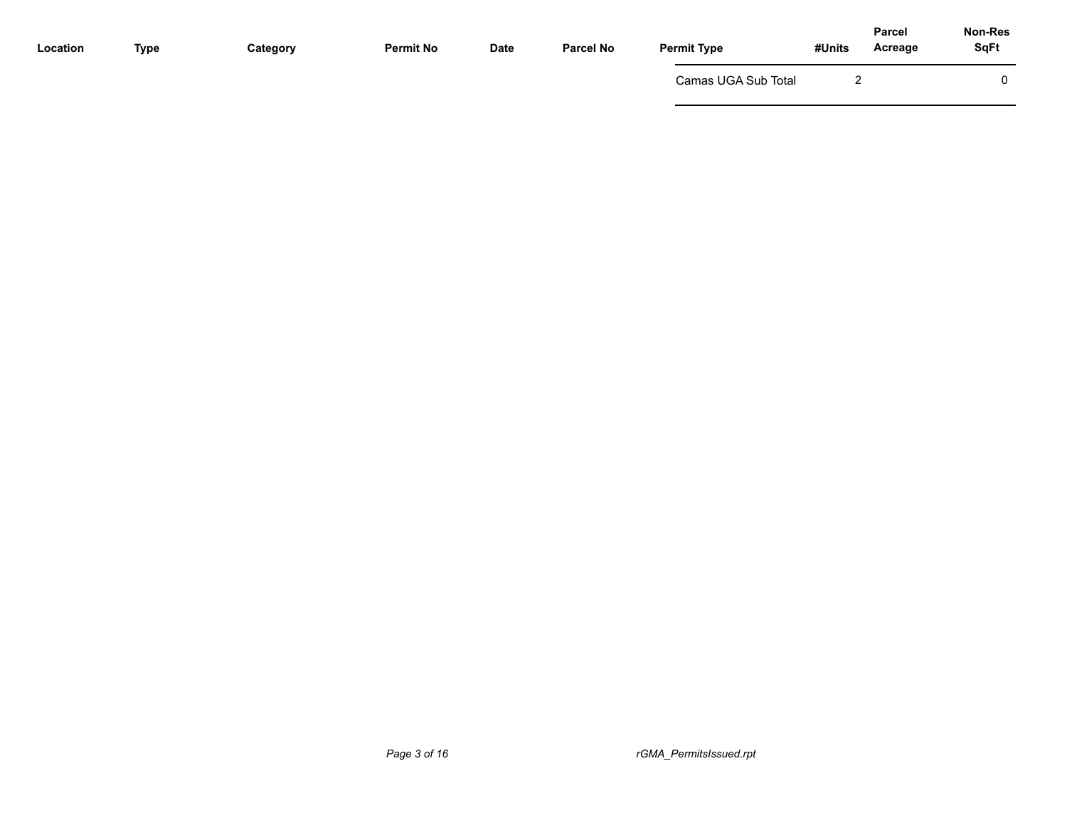| Location | <b>Type</b> | Category | <b>Permit No</b> | <b>Date</b> | <b>Parcel No</b> | <b>Permit Type</b>  | #Units | Non-Res<br><b>Parcel</b><br><b>SqFt</b><br>Acreage |
|----------|-------------|----------|------------------|-------------|------------------|---------------------|--------|----------------------------------------------------|
|          |             |          |                  |             |                  | Camas UGA Sub Total |        | 0                                                  |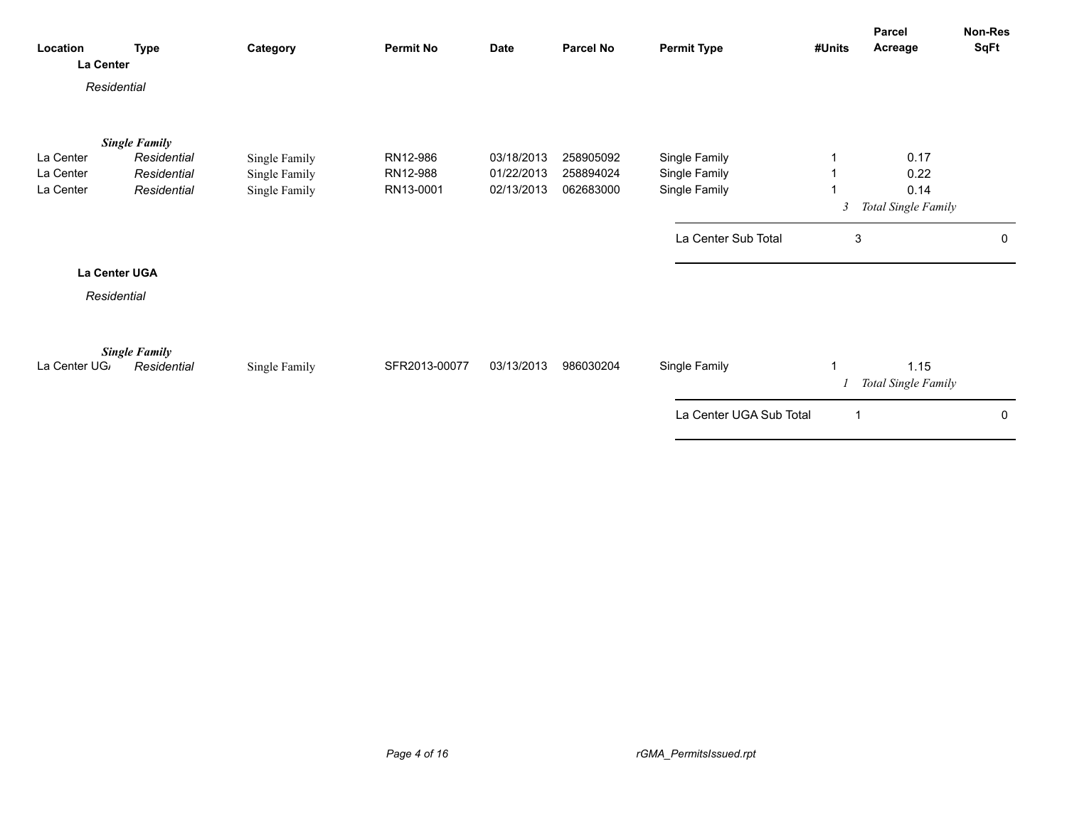| Residential                                                                                                                                                          | SqFt                        | Acreage<br>#Units | <b>Permit Type</b> | <b>Parcel No</b> | <b>Date</b> | <b>Permit No</b> | Category | <b>Type</b> | Location<br>La Center |
|----------------------------------------------------------------------------------------------------------------------------------------------------------------------|-----------------------------|-------------------|--------------------|------------------|-------------|------------------|----------|-------------|-----------------------|
|                                                                                                                                                                      |                             |                   |                    |                  |             |                  |          |             |                       |
| <b>Single Family</b>                                                                                                                                                 |                             |                   |                    |                  |             |                  |          |             |                       |
| RN12-986<br>Single Family<br>La Center<br>Residential<br>03/18/2013<br>258905092<br>Single Family<br>La Center<br>Residential<br>RN12-988<br>01/22/2013<br>258894024 | 0.17<br>0.22                |                   |                    |                  |             |                  |          |             |                       |
| Single Family<br>Single Family<br>La Center<br>Single Family<br>RN13-0001<br>Single Family<br>Residential<br>02/13/2013<br>062683000                                 | 0.14                        |                   |                    |                  |             |                  |          |             |                       |
| 3                                                                                                                                                                    | Total Single Family         |                   |                    |                  |             |                  |          |             |                       |
| La Center Sub Total<br>3                                                                                                                                             | 0                           |                   |                    |                  |             |                  |          |             |                       |
| La Center UGA                                                                                                                                                        |                             |                   |                    |                  |             |                  |          |             |                       |
| Residential                                                                                                                                                          |                             |                   |                    |                  |             |                  |          |             |                       |
| <b>Single Family</b><br>Residential<br>SFR2013-00077<br>03/13/2013<br>986030204<br>Single Family<br>La Center UG<br>Single Family                                    | 1.15<br>Total Single Family |                   |                    |                  |             |                  |          |             |                       |
| La Center UGA Sub Total<br>$\overline{1}$                                                                                                                            | $\mathbf 0$                 |                   |                    |                  |             |                  |          |             |                       |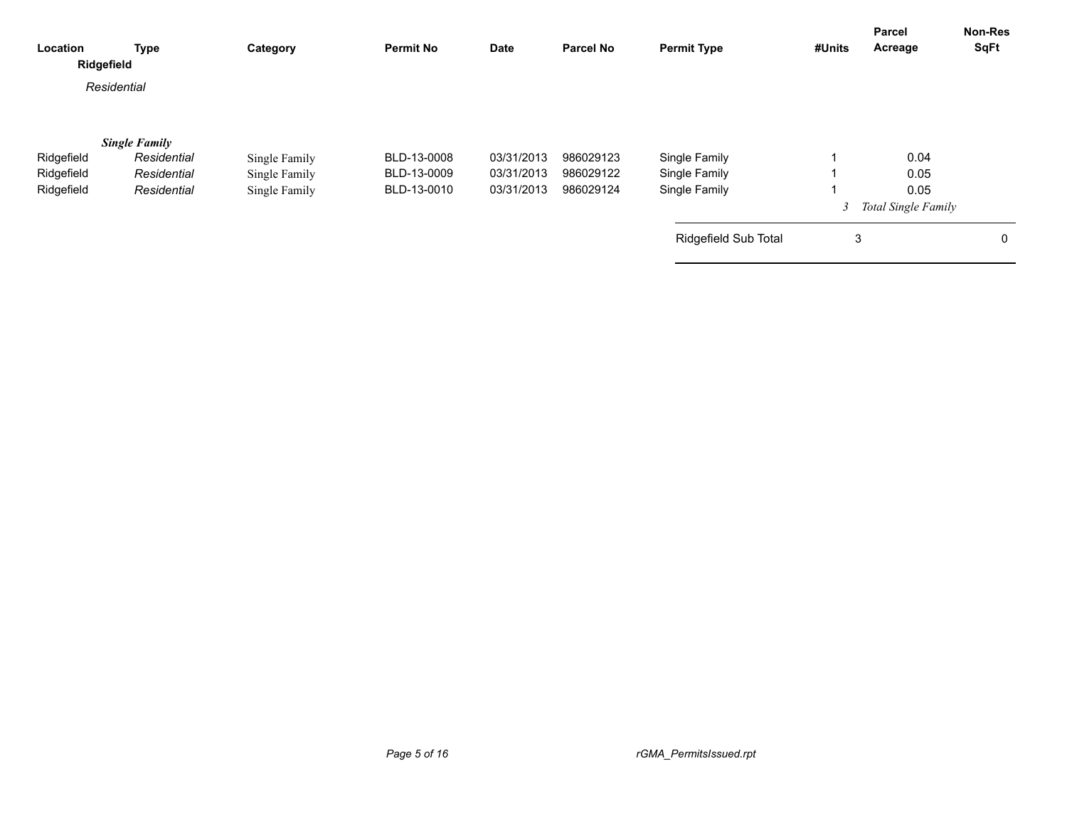| Location<br>Ridgefield                 | <b>Type</b>                                                       | Category                                        | <b>Permit No</b>                          | Date                                   | <b>Parcel No</b>                    | <b>Permit Type</b>                              | #Units | Parcel<br>Acreage                           | <b>Non-Res</b><br><b>SqFt</b> |
|----------------------------------------|-------------------------------------------------------------------|-------------------------------------------------|-------------------------------------------|----------------------------------------|-------------------------------------|-------------------------------------------------|--------|---------------------------------------------|-------------------------------|
|                                        | Residential                                                       |                                                 |                                           |                                        |                                     |                                                 |        |                                             |                               |
| Ridgefield<br>Ridgefield<br>Ridgefield | <b>Single Family</b><br>Residential<br>Residential<br>Residential | Single Family<br>Single Family<br>Single Family | BLD-13-0008<br>BLD-13-0009<br>BLD-13-0010 | 03/31/2013<br>03/31/2013<br>03/31/2013 | 986029123<br>986029122<br>986029124 | Single Family<br>Single Family<br>Single Family |        | 0.04<br>0.05<br>0.05<br>Total Single Family |                               |
|                                        |                                                                   |                                                 |                                           |                                        |                                     | Ridgefield Sub Total                            | 3      |                                             | 0                             |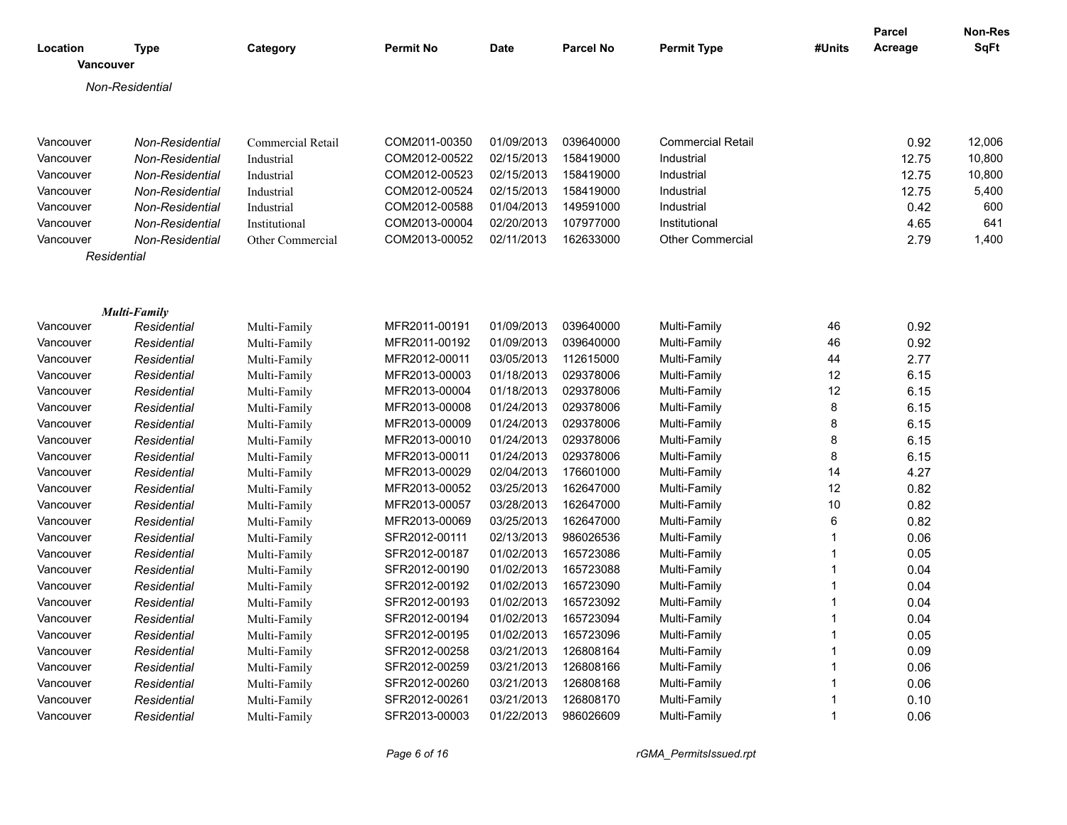| Location  | <b>Type</b><br>Vancouver | Category          | <b>Permit No</b> | <b>Date</b> | <b>Parcel No</b> | <b>Permit Type</b>       | #Units      | <b>Parcel</b><br>Acreage | <b>Non-Res</b><br><b>SqFt</b> |
|-----------|--------------------------|-------------------|------------------|-------------|------------------|--------------------------|-------------|--------------------------|-------------------------------|
|           |                          |                   |                  |             |                  |                          |             |                          |                               |
|           | Non-Residential          |                   |                  |             |                  |                          |             |                          |                               |
| Vancouver | Non-Residential          | Commercial Retail | COM2011-00350    | 01/09/2013  | 039640000        | <b>Commercial Retail</b> |             | 0.92                     | 12,006                        |
| Vancouver | Non-Residential          | Industrial        | COM2012-00522    | 02/15/2013  | 158419000        | Industrial               |             | 12.75                    | 10,800                        |
| Vancouver | Non-Residential          | Industrial        | COM2012-00523    | 02/15/2013  | 158419000        | Industrial               |             | 12.75                    | 10,800                        |
| Vancouver | Non-Residential          | Industrial        | COM2012-00524    | 02/15/2013  | 158419000        | Industrial               |             | 12.75                    | 5,400                         |
| Vancouver | Non-Residential          | Industrial        | COM2012-00588    | 01/04/2013  | 149591000        | Industrial               |             | 0.42                     | 600                           |
| Vancouver | Non-Residential          | Institutional     | COM2013-00004    | 02/20/2013  | 107977000        | Institutional            |             | 4.65                     | 641                           |
| Vancouver | Non-Residential          | Other Commercial  | COM2013-00052    | 02/11/2013  | 162633000        | <b>Other Commercial</b>  |             | 2.79                     | 1,400                         |
|           | Residential              |                   |                  |             |                  |                          |             |                          |                               |
|           |                          |                   |                  |             |                  |                          |             |                          |                               |
|           | <b>Multi-Family</b>      |                   |                  |             |                  |                          |             |                          |                               |
| Vancouver | Residential              | Multi-Family      | MFR2011-00191    | 01/09/2013  | 039640000        | Multi-Family             | 46          | 0.92                     |                               |
| Vancouver | Residential              | Multi-Family      | MFR2011-00192    | 01/09/2013  | 039640000        | Multi-Family             | 46          | 0.92                     |                               |
| Vancouver | Residential              | Multi-Family      | MFR2012-00011    | 03/05/2013  | 112615000        | Multi-Family             | 44          | 2.77                     |                               |
| Vancouver | Residential              | Multi-Family      | MFR2013-00003    | 01/18/2013  | 029378006        | Multi-Family             | 12          | 6.15                     |                               |
| Vancouver | Residential              | Multi-Family      | MFR2013-00004    | 01/18/2013  | 029378006        | Multi-Family             | 12          | 6.15                     |                               |
| Vancouver | Residential              | Multi-Family      | MFR2013-00008    | 01/24/2013  | 029378006        | Multi-Family             | 8           | 6.15                     |                               |
| Vancouver | Residential              | Multi-Family      | MFR2013-00009    | 01/24/2013  | 029378006        | Multi-Family             | 8           | 6.15                     |                               |
| Vancouver | Residential              | Multi-Family      | MFR2013-00010    | 01/24/2013  | 029378006        | Multi-Family             | 8           | 6.15                     |                               |
| Vancouver | Residential              | Multi-Family      | MFR2013-00011    | 01/24/2013  | 029378006        | Multi-Family             | 8           | 6.15                     |                               |
| Vancouver | Residential              | Multi-Family      | MFR2013-00029    | 02/04/2013  | 176601000        | Multi-Family             | 14          | 4.27                     |                               |
| Vancouver | Residential              | Multi-Family      | MFR2013-00052    | 03/25/2013  | 162647000        | Multi-Family             | 12          | 0.82                     |                               |
| Vancouver | Residential              | Multi-Family      | MFR2013-00057    | 03/28/2013  | 162647000        | Multi-Family             | 10          | 0.82                     |                               |
| Vancouver | Residential              | Multi-Family      | MFR2013-00069    | 03/25/2013  | 162647000        | Multi-Family             | 6           | 0.82                     |                               |
| Vancouver | Residential              | Multi-Family      | SFR2012-00111    | 02/13/2013  | 986026536        | Multi-Family             | $\mathbf 1$ | 0.06                     |                               |
| Vancouver | Residential              | Multi-Family      | SFR2012-00187    | 01/02/2013  | 165723086        | Multi-Family             | $\mathbf 1$ | 0.05                     |                               |
| Vancouver | Residential              | Multi-Family      | SFR2012-00190    | 01/02/2013  | 165723088        | Multi-Family             | -1          | 0.04                     |                               |
| Vancouver | Residential              | Multi-Family      | SFR2012-00192    | 01/02/2013  | 165723090        | Multi-Family             | 1           | 0.04                     |                               |
| Vancouver | Residential              | Multi-Family      | SFR2012-00193    | 01/02/2013  | 165723092        | Multi-Family             | 1           | 0.04                     |                               |
| Vancouver | Residential              | Multi-Family      | SFR2012-00194    | 01/02/2013  | 165723094        | Multi-Family             | $\mathbf 1$ | 0.04                     |                               |
| Vancouver | Residential              | Multi-Family      | SFR2012-00195    | 01/02/2013  | 165723096        | Multi-Family             | 1           | 0.05                     |                               |
| Vancouver | Residential              | Multi-Family      | SFR2012-00258    | 03/21/2013  | 126808164        | Multi-Family             |             | 0.09                     |                               |
| Vancouver | Residential              | Multi-Family      | SFR2012-00259    | 03/21/2013  | 126808166        | Multi-Family             |             | 0.06                     |                               |
| Vancouver | Residential              | Multi-Family      | SFR2012-00260    | 03/21/2013  | 126808168        | Multi-Family             |             | 0.06                     |                               |
| Vancouver | Residential              | Multi-Family      | SFR2012-00261    | 03/21/2013  | 126808170        | Multi-Family             | 1           | 0.10                     |                               |
| Vancouver | Residential              | Multi-Family      | SFR2013-00003    | 01/22/2013  | 986026609        | Multi-Family             | 1           | 0.06                     |                               |

*Page 6 of 16 rGMA\_PermitsIssued.rpt*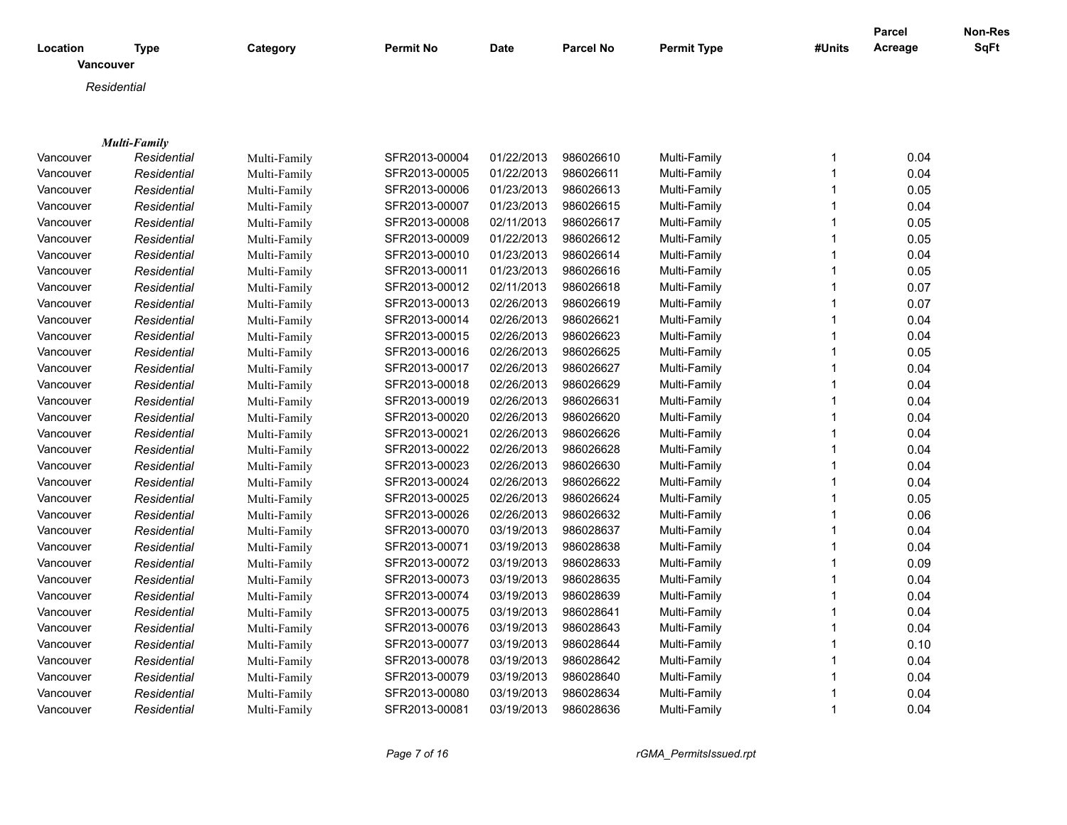| Location  | <b>Type</b>         | Category     | <b>Permit No</b> | <b>Date</b> | <b>Parcel No</b> | <b>Permit Type</b> | #Units       | <b>Parcel</b><br>Acreage | Non-Res<br><b>SqFt</b> |
|-----------|---------------------|--------------|------------------|-------------|------------------|--------------------|--------------|--------------------------|------------------------|
| Vancouver |                     |              |                  |             |                  |                    |              |                          |                        |
|           | Residential         |              |                  |             |                  |                    |              |                          |                        |
|           |                     |              |                  |             |                  |                    |              |                          |                        |
|           |                     |              |                  |             |                  |                    |              |                          |                        |
|           | <b>Multi-Family</b> |              |                  |             |                  |                    |              |                          |                        |
| Vancouver | Residential         | Multi-Family | SFR2013-00004    | 01/22/2013  | 986026610        | Multi-Family       | $\mathbf{1}$ | 0.04                     |                        |
| Vancouver | Residential         | Multi-Family | SFR2013-00005    | 01/22/2013  | 986026611        | Multi-Family       | $\mathbf{1}$ | 0.04                     |                        |
| Vancouver | Residential         | Multi-Family | SFR2013-00006    | 01/23/2013  | 986026613        | Multi-Family       | $\mathbf{1}$ | 0.05                     |                        |
| Vancouver | Residential         | Multi-Family | SFR2013-00007    | 01/23/2013  | 986026615        | Multi-Family       | $\mathbf{1}$ | 0.04                     |                        |
| Vancouver | Residential         | Multi-Family | SFR2013-00008    | 02/11/2013  | 986026617        | Multi-Family       | $\mathbf{1}$ | 0.05                     |                        |
| Vancouver | Residential         | Multi-Family | SFR2013-00009    | 01/22/2013  | 986026612        | Multi-Family       | $\mathbf{1}$ | 0.05                     |                        |
| Vancouver | Residential         | Multi-Family | SFR2013-00010    | 01/23/2013  | 986026614        | Multi-Family       | 1            | 0.04                     |                        |
| Vancouver | Residential         | Multi-Family | SFR2013-00011    | 01/23/2013  | 986026616        | Multi-Family       | 1            | 0.05                     |                        |
| Vancouver | Residential         | Multi-Family | SFR2013-00012    | 02/11/2013  | 986026618        | Multi-Family       | $\mathbf{1}$ | 0.07                     |                        |
| Vancouver | Residential         | Multi-Family | SFR2013-00013    | 02/26/2013  | 986026619        | Multi-Family       | $\mathbf{1}$ | 0.07                     |                        |
| Vancouver | Residential         | Multi-Family | SFR2013-00014    | 02/26/2013  | 986026621        | Multi-Family       | $\mathbf{1}$ | 0.04                     |                        |
| Vancouver | Residential         | Multi-Family | SFR2013-00015    | 02/26/2013  | 986026623        | Multi-Family       | $\mathbf{1}$ | 0.04                     |                        |
| Vancouver | Residential         | Multi-Family | SFR2013-00016    | 02/26/2013  | 986026625        | Multi-Family       | $\mathbf{1}$ | 0.05                     |                        |
| Vancouver | Residential         | Multi-Family | SFR2013-00017    | 02/26/2013  | 986026627        | Multi-Family       | $\mathbf{1}$ | 0.04                     |                        |
| Vancouver | Residential         | Multi-Family | SFR2013-00018    | 02/26/2013  | 986026629        | Multi-Family       | 1            | 0.04                     |                        |
| Vancouver | Residential         | Multi-Family | SFR2013-00019    | 02/26/2013  | 986026631        | Multi-Family       | 1            | 0.04                     |                        |
| Vancouver | Residential         | Multi-Family | SFR2013-00020    | 02/26/2013  | 986026620        | Multi-Family       | $\mathbf{1}$ | 0.04                     |                        |
| Vancouver | Residential         | Multi-Family | SFR2013-00021    | 02/26/2013  | 986026626        | Multi-Family       | $\mathbf{1}$ | 0.04                     |                        |
| Vancouver | Residential         | Multi-Family | SFR2013-00022    | 02/26/2013  | 986026628        | Multi-Family       | $\mathbf{1}$ | 0.04                     |                        |
| Vancouver | Residential         | Multi-Family | SFR2013-00023    | 02/26/2013  | 986026630        | Multi-Family       | $\mathbf 1$  | 0.04                     |                        |
| Vancouver | Residential         | Multi-Family | SFR2013-00024    | 02/26/2013  | 986026622        | Multi-Family       | $\mathbf 1$  | 0.04                     |                        |
| Vancouver | Residential         | Multi-Family | SFR2013-00025    | 02/26/2013  | 986026624        | Multi-Family       | $\mathbf 1$  | 0.05                     |                        |
| Vancouver | Residential         | Multi-Family | SFR2013-00026    | 02/26/2013  | 986026632        | Multi-Family       | $\mathbf 1$  | 0.06                     |                        |
| Vancouver | Residential         | Multi-Family | SFR2013-00070    | 03/19/2013  | 986028637        | Multi-Family       | 1            | 0.04                     |                        |
| Vancouver | Residential         | Multi-Family | SFR2013-00071    | 03/19/2013  | 986028638        | Multi-Family       | $\mathbf{1}$ | 0.04                     |                        |
| Vancouver | Residential         | Multi-Family | SFR2013-00072    | 03/19/2013  | 986028633        | Multi-Family       | $\mathbf{1}$ | 0.09                     |                        |
| Vancouver | Residential         | Multi-Family | SFR2013-00073    | 03/19/2013  | 986028635        | Multi-Family       | $\mathbf{1}$ | 0.04                     |                        |
| Vancouver | Residential         | Multi-Family | SFR2013-00074    | 03/19/2013  | 986028639        | Multi-Family       | 1            | 0.04                     |                        |
| Vancouver | Residential         | Multi-Family | SFR2013-00075    | 03/19/2013  | 986028641        | Multi-Family       | $\mathbf{1}$ | 0.04                     |                        |
| Vancouver | Residential         | Multi-Family | SFR2013-00076    | 03/19/2013  | 986028643        | Multi-Family       | $\mathbf{1}$ | 0.04                     |                        |
| Vancouver | Residential         | Multi-Family | SFR2013-00077    | 03/19/2013  | 986028644        | Multi-Family       | $\mathbf 1$  | 0.10                     |                        |
| Vancouver | Residential         | Multi-Family | SFR2013-00078    | 03/19/2013  | 986028642        | Multi-Family       | $\mathbf 1$  | 0.04                     |                        |
| Vancouver | Residential         | Multi-Family | SFR2013-00079    | 03/19/2013  | 986028640        | Multi-Family       | $\mathbf{1}$ | 0.04                     |                        |
| Vancouver | Residential         | Multi-Family | SFR2013-00080    | 03/19/2013  | 986028634        | Multi-Family       | 1            | 0.04                     |                        |
| Vancouver | Residential         | Multi-Family | SFR2013-00081    | 03/19/2013  | 986028636        | Multi-Family       | 1            | 0.04                     |                        |
|           |                     |              |                  |             |                  |                    |              |                          |                        |

*Page 7 of 16 rGMA\_PermitsIssued.rpt*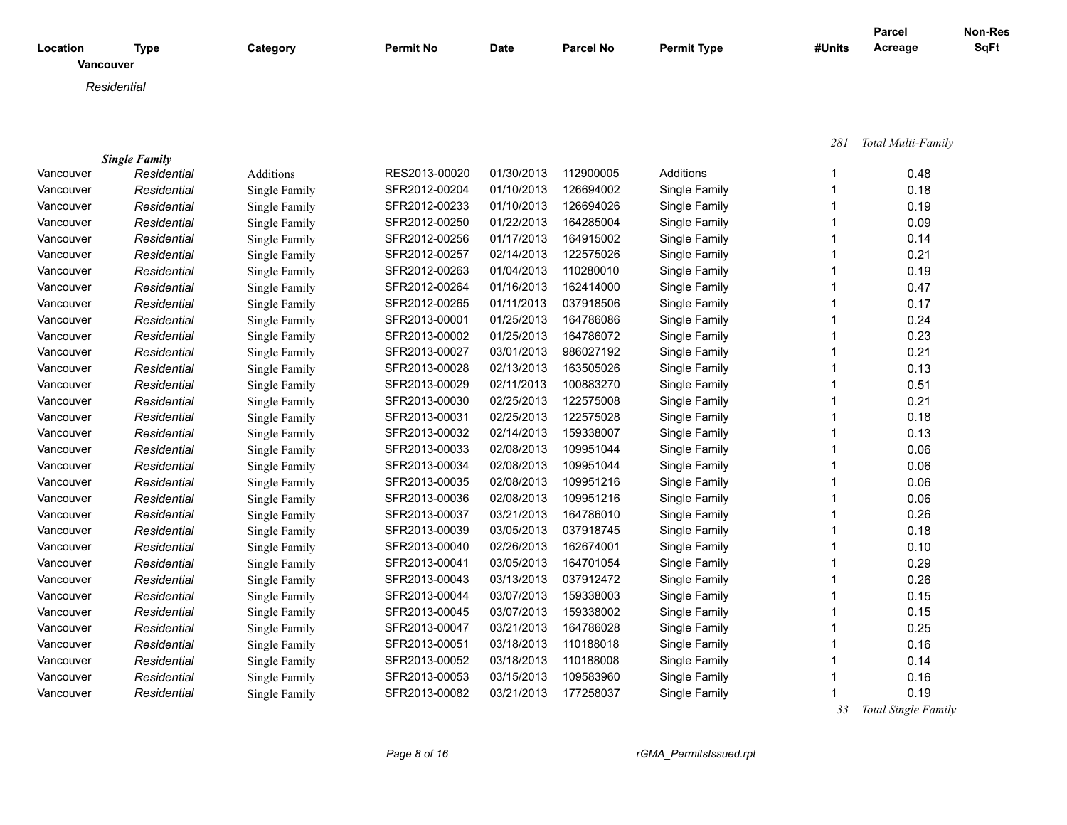| Location  | Type        | Category | <b>Permit No</b> | <b>Date</b> | <b>Parcel No</b> | <b>Permit Type</b> | #Units | <b>Parcel</b><br>Acreage | Non-Res<br><b>SqFt</b> |
|-----------|-------------|----------|------------------|-------------|------------------|--------------------|--------|--------------------------|------------------------|
| Vancouver |             |          |                  |             |                  |                    |        |                          |                        |
|           | Residential |          |                  |             |                  |                    |        |                          |                        |
|           |             |          |                  |             |                  |                    |        |                          |                        |

|  | 281 | Total Multi-Family |  |
|--|-----|--------------------|--|
|--|-----|--------------------|--|

|           | <b>Single Family</b> |                  |               |            |           |               |      |
|-----------|----------------------|------------------|---------------|------------|-----------|---------------|------|
| Vancouver | Residential          | <b>Additions</b> | RES2013-00020 | 01/30/2013 | 112900005 | Additions     | 0.48 |
| Vancouver | Residential          | Single Family    | SFR2012-00204 | 01/10/2013 | 126694002 | Single Family | 0.18 |
| Vancouver | Residential          | Single Family    | SFR2012-00233 | 01/10/2013 | 126694026 | Single Family | 0.19 |
| Vancouver | Residential          | Single Family    | SFR2012-00250 | 01/22/2013 | 164285004 | Single Family | 0.09 |
| Vancouver | Residential          | Single Family    | SFR2012-00256 | 01/17/2013 | 164915002 | Single Family | 0.14 |
| Vancouver | Residential          | Single Family    | SFR2012-00257 | 02/14/2013 | 122575026 | Single Family | 0.21 |
| Vancouver | Residential          | Single Family    | SFR2012-00263 | 01/04/2013 | 110280010 | Single Family | 0.19 |
| Vancouver | Residential          | Single Family    | SFR2012-00264 | 01/16/2013 | 162414000 | Single Family | 0.47 |
| Vancouver | Residential          | Single Family    | SFR2012-00265 | 01/11/2013 | 037918506 | Single Family | 0.17 |
| Vancouver | Residential          | Single Family    | SFR2013-00001 | 01/25/2013 | 164786086 | Single Family | 0.24 |
| Vancouver | Residential          | Single Family    | SFR2013-00002 | 01/25/2013 | 164786072 | Single Family | 0.23 |
| Vancouver | Residential          | Single Family    | SFR2013-00027 | 03/01/2013 | 986027192 | Single Family | 0.21 |
| Vancouver | Residential          | Single Family    | SFR2013-00028 | 02/13/2013 | 163505026 | Single Family | 0.13 |
| Vancouver | Residential          | Single Family    | SFR2013-00029 | 02/11/2013 | 100883270 | Single Family | 0.51 |
| Vancouver | Residential          | Single Family    | SFR2013-00030 | 02/25/2013 | 122575008 | Single Family | 0.21 |
| Vancouver | Residential          | Single Family    | SFR2013-00031 | 02/25/2013 | 122575028 | Single Family | 0.18 |
| Vancouver | Residential          | Single Family    | SFR2013-00032 | 02/14/2013 | 159338007 | Single Family | 0.13 |
| Vancouver | Residential          | Single Family    | SFR2013-00033 | 02/08/2013 | 109951044 | Single Family | 0.06 |
| Vancouver | Residential          | Single Family    | SFR2013-00034 | 02/08/2013 | 109951044 | Single Family | 0.06 |
| Vancouver | Residential          | Single Family    | SFR2013-00035 | 02/08/2013 | 109951216 | Single Family | 0.06 |
| Vancouver | Residential          | Single Family    | SFR2013-00036 | 02/08/2013 | 109951216 | Single Family | 0.06 |
| Vancouver | Residential          | Single Family    | SFR2013-00037 | 03/21/2013 | 164786010 | Single Family | 0.26 |
| Vancouver | Residential          | Single Family    | SFR2013-00039 | 03/05/2013 | 037918745 | Single Family | 0.18 |
| Vancouver | Residential          | Single Family    | SFR2013-00040 | 02/26/2013 | 162674001 | Single Family | 0.10 |
| Vancouver | Residential          | Single Family    | SFR2013-00041 | 03/05/2013 | 164701054 | Single Family | 0.29 |
| Vancouver | Residential          | Single Family    | SFR2013-00043 | 03/13/2013 | 037912472 | Single Family | 0.26 |
| Vancouver | Residential          | Single Family    | SFR2013-00044 | 03/07/2013 | 159338003 | Single Family | 0.15 |
| Vancouver | Residential          | Single Family    | SFR2013-00045 | 03/07/2013 | 159338002 | Single Family | 0.15 |
| Vancouver | Residential          | Single Family    | SFR2013-00047 | 03/21/2013 | 164786028 | Single Family | 0.25 |
| Vancouver | Residential          | Single Family    | SFR2013-00051 | 03/18/2013 | 110188018 | Single Family | 0.16 |
| Vancouver | Residential          | Single Family    | SFR2013-00052 | 03/18/2013 | 110188008 | Single Family | 0.14 |
| Vancouver | Residential          | Single Family    | SFR2013-00053 | 03/15/2013 | 109583960 | Single Family | 0.16 |
| Vancouver | Residential          | Single Family    | SFR2013-00082 | 03/21/2013 | 177258037 | Single Family | 0.19 |

 *33 Total Single Family*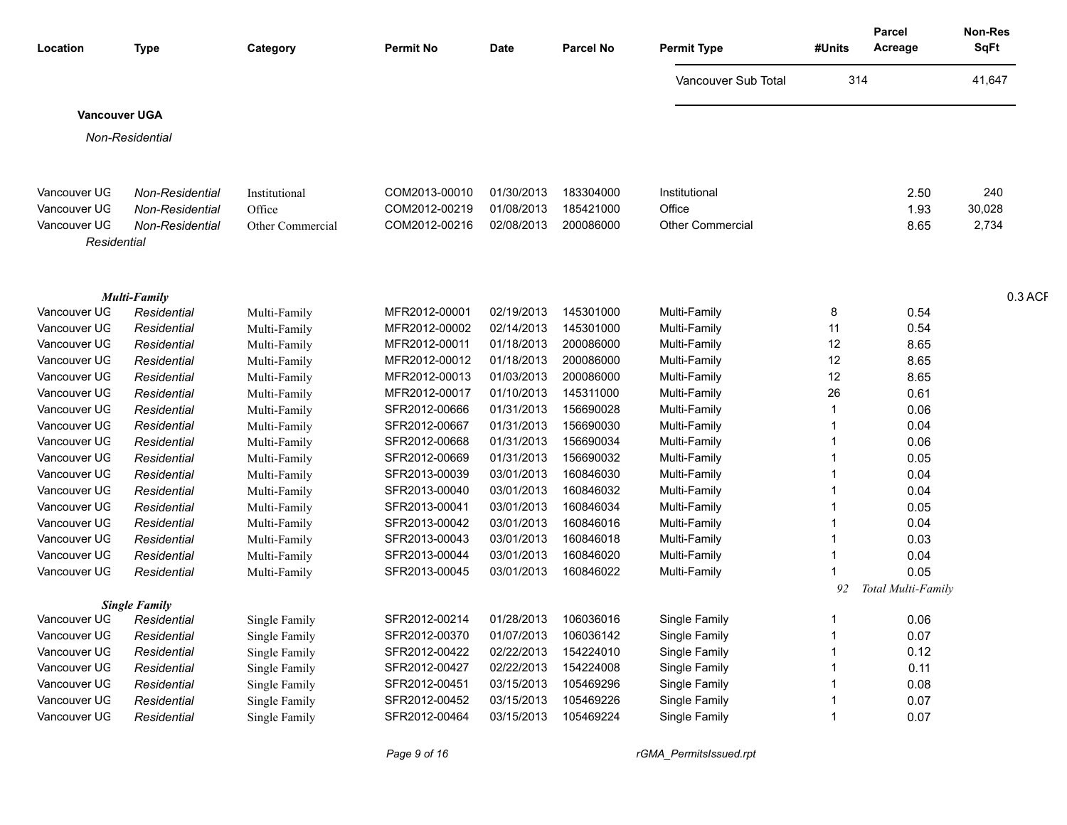| Location             | Type                   | Category         | <b>Permit No</b> | <b>Date</b> | <b>Parcel No</b> | <b>Permit Type</b>      | #Units | <b>Parcel</b><br>Acreage | <b>Non-Res</b><br>SqFt |
|----------------------|------------------------|------------------|------------------|-------------|------------------|-------------------------|--------|--------------------------|------------------------|
|                      |                        |                  |                  |             |                  | Vancouver Sub Total     | 314    |                          | 41,647                 |
| <b>Vancouver UGA</b> |                        |                  |                  |             |                  |                         |        |                          |                        |
|                      | <b>Non-Residential</b> |                  |                  |             |                  |                         |        |                          |                        |
|                      |                        |                  |                  |             |                  |                         |        |                          |                        |
|                      |                        |                  |                  |             |                  |                         |        |                          |                        |
| Vancouver UG         | Non-Residential        | Institutional    | COM2013-00010    | 01/30/2013  | 183304000        | Institutional           |        | 2.50                     | 240                    |
| Vancouver UG         | Non-Residential        | Office           | COM2012-00219    | 01/08/2013  | 185421000        | Office                  |        | 1.93                     | 30,028                 |
| Vancouver UG         | Non-Residential        | Other Commercial | COM2012-00216    | 02/08/2013  | 200086000        | <b>Other Commercial</b> |        | 8.65                     | 2,734                  |
| Residential          |                        |                  |                  |             |                  |                         |        |                          |                        |
|                      |                        |                  |                  |             |                  |                         |        |                          |                        |
|                      |                        |                  |                  |             |                  |                         |        |                          |                        |
|                      | <b>Multi-Family</b>    |                  |                  |             |                  |                         |        |                          | 0.3 ACF                |
| Vancouver UG         | Residential            | Multi-Family     | MFR2012-00001    | 02/19/2013  | 145301000        | Multi-Family            |        | 0.54                     |                        |
| Vancouver UG         | Residential            | Multi-Family     | MFR2012-00002    | 02/14/2013  | 145301000        | Multi-Family            | 11     | 0.54                     |                        |
| Vancouver UG         | Residential            | Multi-Family     | MFR2012-00011    | 01/18/2013  | 200086000        | Multi-Family            | 12     | 8.65                     |                        |
| Vancouver UG         | Residential            | Multi-Family     | MFR2012-00012    | 01/18/2013  | 200086000        | Multi-Family            | 12     | 8.65                     |                        |
| Vancouver UG         | Residential            | Multi-Family     | MFR2012-00013    | 01/03/2013  | 200086000        | Multi-Family            | 12     | 8.65                     |                        |
| Vancouver UG         | Residential            | Multi-Family     | MFR2012-00017    | 01/10/2013  | 145311000        | Multi-Family            | 26     | 0.61                     |                        |
| Vancouver UG         | Residential            | Multi-Family     | SFR2012-00666    | 01/31/2013  | 156690028        | Multi-Family            |        | 0.06                     |                        |
| Vancouver UG         | Residential            | Multi-Family     | SFR2012-00667    | 01/31/2013  | 156690030        | Multi-Family            |        | 0.04                     |                        |
| Vancouver UG         | Residential            | Multi-Family     | SFR2012-00668    | 01/31/2013  | 156690034        | Multi-Family            |        | 0.06                     |                        |
| Vancouver UG         | Residential            | Multi-Family     | SFR2012-00669    | 01/31/2013  | 156690032        | Multi-Family            |        | 0.05                     |                        |
| Vancouver UG         | Residential            | Multi-Family     | SFR2013-00039    | 03/01/2013  | 160846030        | Multi-Family            |        | 0.04                     |                        |
| Vancouver UG         | Residential            | Multi-Family     | SFR2013-00040    | 03/01/2013  | 160846032        | Multi-Family            |        | 0.04                     |                        |
| Vancouver UG         | Residential            | Multi-Family     | SFR2013-00041    | 03/01/2013  | 160846034        | Multi-Family            |        | 0.05                     |                        |
| Vancouver UG         | Residential            | Multi-Family     | SFR2013-00042    | 03/01/2013  | 160846016        | Multi-Family            |        | 0.04                     |                        |
| Vancouver UG         | Residential            | Multi-Family     | SFR2013-00043    | 03/01/2013  | 160846018        | Multi-Family            |        | 0.03                     |                        |
| Vancouver UG         | Residential            | Multi-Family     | SFR2013-00044    | 03/01/2013  | 160846020        | Multi-Family            |        | 0.04                     |                        |
| Vancouver UG         | Residential            | Multi-Family     | SFR2013-00045    | 03/01/2013  | 160846022        | Multi-Family            |        | 0.05                     |                        |
|                      |                        |                  |                  |             |                  |                         | 92     | Total Multi-Family       |                        |
|                      | <b>Single Family</b>   |                  |                  |             |                  |                         |        |                          |                        |
| Vancouver UG         | Residential            | Single Family    | SFR2012-00214    | 01/28/2013  | 106036016        | Single Family           |        | 0.06                     |                        |
| Vancouver UG         | Residential            | Single Family    | SFR2012-00370    | 01/07/2013  | 106036142        | Single Family           |        | 0.07                     |                        |
| Vancouver UG         | Residential            | Single Family    | SFR2012-00422    | 02/22/2013  | 154224010        | Single Family           |        | 0.12                     |                        |
| Vancouver UG         | Residential            | Single Family    | SFR2012-00427    | 02/22/2013  | 154224008        | Single Family           |        | 0.11                     |                        |
| Vancouver UG         | Residential            | Single Family    | SFR2012-00451    | 03/15/2013  | 105469296        | <b>Single Family</b>    |        | 0.08                     |                        |
| Vancouver UG         | Residential            | Single Family    | SFR2012-00452    | 03/15/2013  | 105469226        | Single Family           |        | 0.07                     |                        |
| Vancouver UG         | Residential            | Single Family    | SFR2012-00464    | 03/15/2013  | 105469224        | Single Family           |        | 0.07                     |                        |
|                      |                        |                  |                  |             |                  |                         |        |                          |                        |

*Page 9 of 16 rGMA\_PermitsIssued.rpt*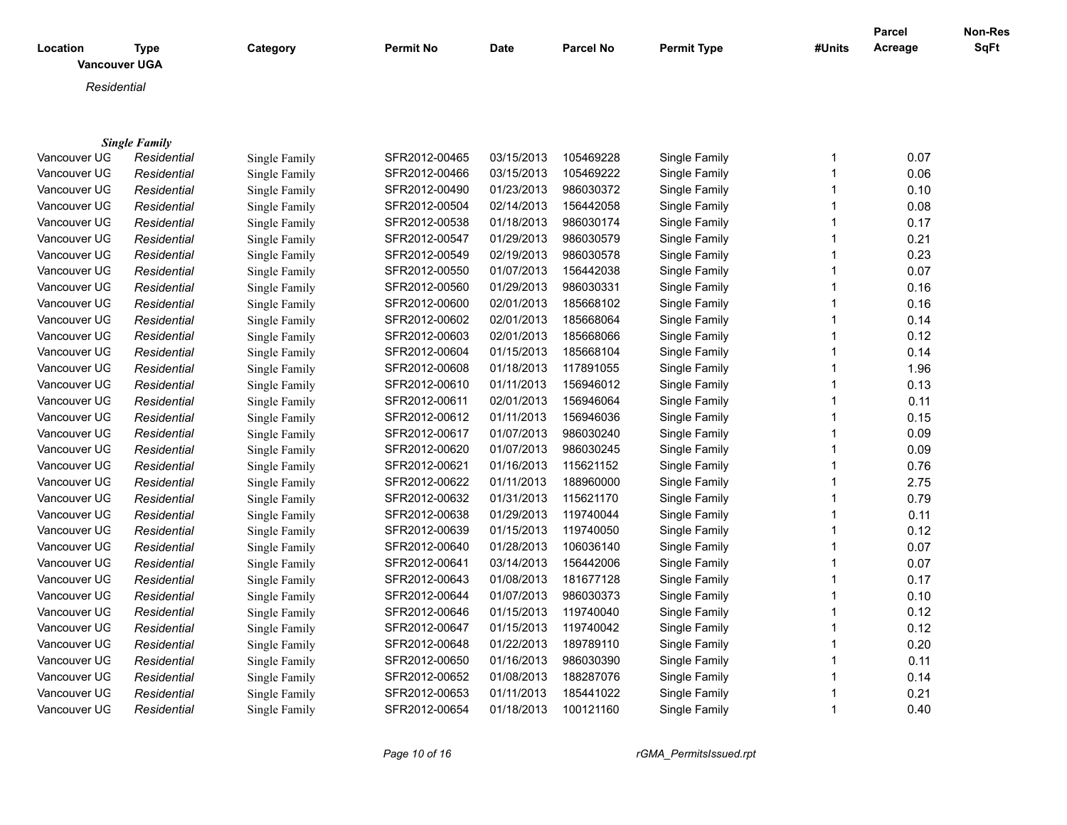| Location<br><b>Type</b><br><b>Vancouver UGA</b> |                      | Category             | <b>Permit No</b> | <b>Date</b> | <b>Parcel No</b> | <b>Permit Type</b> | #Units       | <b>Parcel</b><br>Acreage | <b>Non-Res</b><br><b>SqFt</b> |
|-------------------------------------------------|----------------------|----------------------|------------------|-------------|------------------|--------------------|--------------|--------------------------|-------------------------------|
| Residential                                     |                      |                      |                  |             |                  |                    |              |                          |                               |
|                                                 |                      |                      |                  |             |                  |                    |              |                          |                               |
|                                                 |                      |                      |                  |             |                  |                    |              |                          |                               |
|                                                 | <b>Single Family</b> |                      |                  |             |                  |                    |              |                          |                               |
| Vancouver UG                                    | Residential          | Single Family        | SFR2012-00465    | 03/15/2013  | 105469228        | Single Family      | 1            | 0.07                     |                               |
| Vancouver UG                                    | Residential          | Single Family        | SFR2012-00466    | 03/15/2013  | 105469222        | Single Family      | 1            | 0.06                     |                               |
| Vancouver UG                                    | Residential          | Single Family        | SFR2012-00490    | 01/23/2013  | 986030372        | Single Family      | 1            | 0.10                     |                               |
| Vancouver UG                                    | Residential          | Single Family        | SFR2012-00504    | 02/14/2013  | 156442058        | Single Family      | 1            | 0.08                     |                               |
| Vancouver UG                                    | Residential          | Single Family        | SFR2012-00538    | 01/18/2013  | 986030174        | Single Family      | 1            | 0.17                     |                               |
| Vancouver UG                                    | Residential          | Single Family        | SFR2012-00547    | 01/29/2013  | 986030579        | Single Family      | 1            | 0.21                     |                               |
| Vancouver UG                                    | Residential          | Single Family        | SFR2012-00549    | 02/19/2013  | 986030578        | Single Family      | 1            | 0.23                     |                               |
| Vancouver UG                                    | Residential          | Single Family        | SFR2012-00550    | 01/07/2013  | 156442038        | Single Family      | 1            | 0.07                     |                               |
| Vancouver UG                                    | Residential          | Single Family        | SFR2012-00560    | 01/29/2013  | 986030331        | Single Family      | 1            | 0.16                     |                               |
| Vancouver UG                                    | Residential          | Single Family        | SFR2012-00600    | 02/01/2013  | 185668102        | Single Family      | 1            | 0.16                     |                               |
| Vancouver UG                                    | Residential          | Single Family        | SFR2012-00602    | 02/01/2013  | 185668064        | Single Family      | 1            | 0.14                     |                               |
| Vancouver UG                                    | Residential          | Single Family        | SFR2012-00603    | 02/01/2013  | 185668066        | Single Family      | $\mathbf{1}$ | 0.12                     |                               |
| Vancouver UG                                    | Residential          | Single Family        | SFR2012-00604    | 01/15/2013  | 185668104        | Single Family      | 1            | 0.14                     |                               |
| Vancouver UG                                    | Residential          | Single Family        | SFR2012-00608    | 01/18/2013  | 117891055        | Single Family      | 1            | 1.96                     |                               |
| Vancouver UG                                    | Residential          | Single Family        | SFR2012-00610    | 01/11/2013  | 156946012        | Single Family      | 1            | 0.13                     |                               |
| Vancouver UG                                    | Residential          | Single Family        | SFR2012-00611    | 02/01/2013  | 156946064        | Single Family      | 1            | 0.11                     |                               |
| Vancouver UG                                    | Residential          | Single Family        | SFR2012-00612    | 01/11/2013  | 156946036        | Single Family      | 1            | 0.15                     |                               |
| Vancouver UG                                    | Residential          | Single Family        | SFR2012-00617    | 01/07/2013  | 986030240        | Single Family      | 1            | 0.09                     |                               |
| Vancouver UG                                    | Residential          | Single Family        | SFR2012-00620    | 01/07/2013  | 986030245        | Single Family      | 1            | 0.09                     |                               |
| Vancouver UG                                    | Residential          | Single Family        | SFR2012-00621    | 01/16/2013  | 115621152        | Single Family      | 1            | 0.76                     |                               |
| Vancouver UG                                    | Residential          | Single Family        | SFR2012-00622    | 01/11/2013  | 188960000        | Single Family      | 1            | 2.75                     |                               |
| Vancouver UG                                    | Residential          | Single Family        | SFR2012-00632    | 01/31/2013  | 115621170        | Single Family      | 1            | 0.79                     |                               |
| Vancouver UG                                    | Residential          | <b>Single Family</b> | SFR2012-00638    | 01/29/2013  | 119740044        | Single Family      | 1            | 0.11                     |                               |
| Vancouver UG                                    | Residential          | Single Family        | SFR2012-00639    | 01/15/2013  | 119740050        | Single Family      | 1            | 0.12                     |                               |
| Vancouver UG                                    | Residential          | Single Family        | SFR2012-00640    | 01/28/2013  | 106036140        | Single Family      | 1            | 0.07                     |                               |
| Vancouver UG                                    | Residential          | Single Family        | SFR2012-00641    | 03/14/2013  | 156442006        | Single Family      | 1            | 0.07                     |                               |
| Vancouver UG                                    | Residential          | Single Family        | SFR2012-00643    | 01/08/2013  | 181677128        | Single Family      | 1            | 0.17                     |                               |
| Vancouver UG                                    | Residential          | Single Family        | SFR2012-00644    | 01/07/2013  | 986030373        | Single Family      | 1            | 0.10                     |                               |
| Vancouver UG                                    | Residential          | Single Family        | SFR2012-00646    | 01/15/2013  | 119740040        | Single Family      | 1            | 0.12                     |                               |
| Vancouver UG                                    | Residential          | Single Family        | SFR2012-00647    | 01/15/2013  | 119740042        | Single Family      | 1            | 0.12                     |                               |
| Vancouver UG                                    | Residential          | Single Family        | SFR2012-00648    | 01/22/2013  | 189789110        | Single Family      | 1            | 0.20                     |                               |
| Vancouver UG                                    | Residential          | Single Family        | SFR2012-00650    | 01/16/2013  | 986030390        | Single Family      |              | 0.11                     |                               |
| Vancouver UG                                    | Residential          | Single Family        | SFR2012-00652    | 01/08/2013  | 188287076        | Single Family      | 1            | 0.14                     |                               |
| Vancouver UG                                    | Residential          | Single Family        | SFR2012-00653    | 01/11/2013  | 185441022        | Single Family      |              | 0.21                     |                               |
| Vancouver UG                                    | Residential          | Single Family        | SFR2012-00654    | 01/18/2013  | 100121160        | Single Family      | $\mathbf{1}$ | 0.40                     |                               |

Residential **Single Family SFR2012-00654** 01/18/2013 100121160

*Page 10 of 16 rGMA\_PermitsIssued.rpt*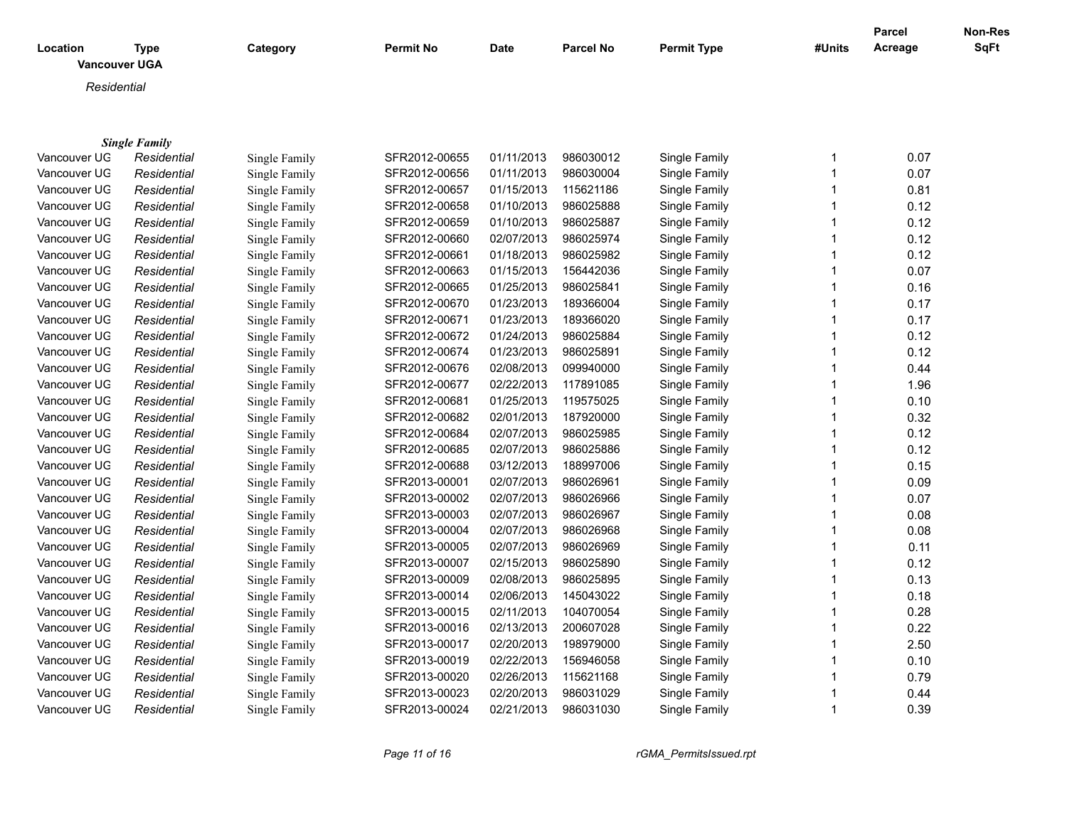| Location | <b>Type</b><br><b>Vancouver UGA</b> | Category | <b>Permit No</b> | <b>Date</b> | <b>Parcel No</b> | <b>Permit Type</b> | #Units | <b>Parcel</b><br>Acreage | Non-Res<br><b>SqFt</b> |
|----------|-------------------------------------|----------|------------------|-------------|------------------|--------------------|--------|--------------------------|------------------------|
|          | Residential                         |          |                  |             |                  |                    |        |                          |                        |
|          |                                     |          |                  |             |                  |                    |        |                          |                        |
|          |                                     |          |                  |             |                  |                    |        |                          |                        |
|          | <b>Single Family</b>                |          |                  |             |                  |                    |        |                          |                        |

| Vancouver UG | Residential | Single Family | SFR2012-00655 | 01/11/2013 | 986030012 | Single Family | 0.07 |
|--------------|-------------|---------------|---------------|------------|-----------|---------------|------|
| Vancouver UG | Residential | Single Family | SFR2012-00656 | 01/11/2013 | 986030004 | Single Family | 0.07 |
| Vancouver UG | Residential | Single Family | SFR2012-00657 | 01/15/2013 | 115621186 | Single Family | 0.81 |
| Vancouver UG | Residential | Single Family | SFR2012-00658 | 01/10/2013 | 986025888 | Single Family | 0.12 |
| Vancouver UG | Residential | Single Family | SFR2012-00659 | 01/10/2013 | 986025887 | Single Family | 0.12 |
| Vancouver UG | Residential | Single Family | SFR2012-00660 | 02/07/2013 | 986025974 | Single Family | 0.12 |
| Vancouver UG | Residential | Single Family | SFR2012-00661 | 01/18/2013 | 986025982 | Single Family | 0.12 |
| Vancouver UG | Residential | Single Family | SFR2012-00663 | 01/15/2013 | 156442036 | Single Family | 0.07 |
| Vancouver UG | Residential | Single Family | SFR2012-00665 | 01/25/2013 | 986025841 | Single Family | 0.16 |
| Vancouver UG | Residential | Single Family | SFR2012-00670 | 01/23/2013 | 189366004 | Single Family | 0.17 |
| Vancouver UG | Residential | Single Family | SFR2012-00671 | 01/23/2013 | 189366020 | Single Family | 0.17 |
| Vancouver UG | Residential | Single Family | SFR2012-00672 | 01/24/2013 | 986025884 | Single Family | 0.12 |
| Vancouver UG | Residential | Single Family | SFR2012-00674 | 01/23/2013 | 986025891 | Single Family | 0.12 |
| Vancouver UG | Residential | Single Family | SFR2012-00676 | 02/08/2013 | 099940000 | Single Family | 0.44 |
| Vancouver UG | Residential | Single Family | SFR2012-00677 | 02/22/2013 | 117891085 | Single Family | 1.96 |
| Vancouver UG | Residential | Single Family | SFR2012-00681 | 01/25/2013 | 119575025 | Single Family | 0.10 |
| Vancouver UG | Residential | Single Family | SFR2012-00682 | 02/01/2013 | 187920000 | Single Family | 0.32 |
| Vancouver UG | Residential | Single Family | SFR2012-00684 | 02/07/2013 | 986025985 | Single Family | 0.12 |
| Vancouver UG | Residential | Single Family | SFR2012-00685 | 02/07/2013 | 986025886 | Single Family | 0.12 |
| Vancouver UG | Residential | Single Family | SFR2012-00688 | 03/12/2013 | 188997006 | Single Family | 0.15 |
| Vancouver UG | Residential | Single Family | SFR2013-00001 | 02/07/2013 | 986026961 | Single Family | 0.09 |
| Vancouver UG | Residential | Single Family | SFR2013-00002 | 02/07/2013 | 986026966 | Single Family | 0.07 |
| Vancouver UG | Residential | Single Family | SFR2013-00003 | 02/07/2013 | 986026967 | Single Family | 0.08 |
| Vancouver UG | Residential | Single Family | SFR2013-00004 | 02/07/2013 | 986026968 | Single Family | 0.08 |
| Vancouver UG | Residential | Single Family | SFR2013-00005 | 02/07/2013 | 986026969 | Single Family | 0.11 |
| Vancouver UG | Residential | Single Family | SFR2013-00007 | 02/15/2013 | 986025890 | Single Family | 0.12 |
| Vancouver UG | Residential | Single Family | SFR2013-00009 | 02/08/2013 | 986025895 | Single Family | 0.13 |
| Vancouver UG | Residential | Single Family | SFR2013-00014 | 02/06/2013 | 145043022 | Single Family | 0.18 |
| Vancouver UG | Residential | Single Family | SFR2013-00015 | 02/11/2013 | 104070054 | Single Family | 0.28 |
| Vancouver UG | Residential | Single Family | SFR2013-00016 | 02/13/2013 | 200607028 | Single Family | 0.22 |
| Vancouver UG | Residential | Single Family | SFR2013-00017 | 02/20/2013 | 198979000 | Single Family | 2.50 |
| Vancouver UG | Residential | Single Family | SFR2013-00019 | 02/22/2013 | 156946058 | Single Family | 0.10 |
| Vancouver UG | Residential | Single Family | SFR2013-00020 | 02/26/2013 | 115621168 | Single Family | 0.79 |
| Vancouver UG | Residential | Single Family | SFR2013-00023 | 02/20/2013 | 986031029 | Single Family | 0.44 |
| Vancouver UG | Residential | Single Family | SFR2013-00024 | 02/21/2013 | 986031030 | Single Family | 0.39 |
|              |             |               |               |            |           |               |      |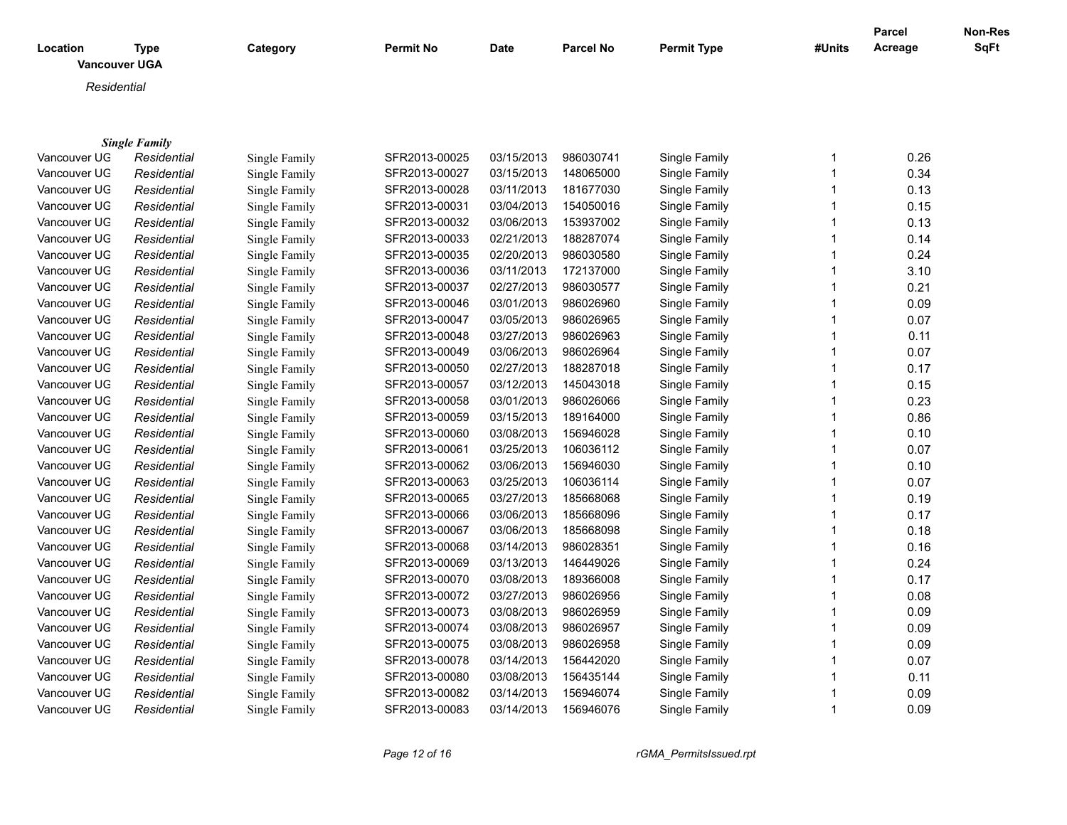| Location     | <b>Type</b><br><b>Vancouver UGA</b> | Category      | <b>Permit No</b> | <b>Date</b> | <b>Parcel No</b> | <b>Permit Type</b> | #Units | <b>Parcel</b><br>Acreage | Non-Res<br><b>SqFt</b> |
|--------------|-------------------------------------|---------------|------------------|-------------|------------------|--------------------|--------|--------------------------|------------------------|
|              | Residential                         |               |                  |             |                  |                    |        |                          |                        |
|              |                                     |               |                  |             |                  |                    |        |                          |                        |
|              | <b>Single Family</b>                |               |                  |             |                  |                    |        |                          |                        |
| Vancouver UG | Residential                         | Single Family | SFR2013-00025    | 03/15/2013  | 986030741        | Single Family      | 1      | 0.26                     |                        |
| Vancouver UG | Residential                         | Single Family | SFR2013-00027    | 03/15/2013  | 148065000        | Single Family      |        | 0.34                     |                        |
| Vancouver UG | Residential                         | Single Family | SFR2013-00028    | 03/11/2013  | 181677030        | Single Family      |        | 0.13                     |                        |
| Vancouver UG | Residential                         | Single Family | SFR2013-00031    | 03/04/2013  | 154050016        | Single Family      |        | 0.15                     |                        |
| Vancouver UG | Residential                         | Single Family | SFR2013-00032    | 03/06/2013  | 153937002        | Single Family      |        | 0.13                     |                        |
| Vancouver UG | Residential                         | Single Family | SFR2013-00033    | 02/21/2013  | 188287074        | Single Family      |        | 0.14                     |                        |
| Vancouver UG | Residential                         | Single Family | SFR2013-00035    | 02/20/2013  | 986030580        | Single Family      |        | 0.24                     |                        |
| Vancouver UG | Residential                         | Single Family | SFR2013-00036    | 03/11/2013  | 172137000        | Single Family      | 1      | 3.10                     |                        |
| Vancouver UG | Residential                         | Single Family | SFR2013-00037    | 02/27/2013  | 986030577        | Single Family      |        | 0.21                     |                        |
| Vancouver UG | Residential                         | Single Family | SFR2013-00046    | 03/01/2013  | 986026960        | Single Family      |        | 0.09                     |                        |
| Vancouver UG | Residential                         | Single Family | SFR2013-00047    | 03/05/2013  | 986026965        | Single Family      |        | 0.07                     |                        |
| Vancouver UG | Residential                         | Single Family | SFR2013-00048    | 03/27/2013  | 986026963        | Single Family      |        | 0.11                     |                        |
| Vancouver UG | Residential                         | Single Family | SFR2013-00049    | 03/06/2013  | 986026964        | Single Family      |        | 0.07                     |                        |
| Vancouver UG | Residential                         | Single Family | SFR2013-00050    | 02/27/2013  | 188287018        | Single Family      | 1      | 0.17                     |                        |
| Vancouver UG | Residential                         | Single Family | SFR2013-00057    | 03/12/2013  | 145043018        | Single Family      |        | 0.15                     |                        |
| Vancouver UG | Residential                         | Single Family | SFR2013-00058    | 03/01/2013  | 986026066        | Single Family      |        | 0.23                     |                        |
| Vancouver UG | Residential                         | Single Family | SFR2013-00059    | 03/15/2013  | 189164000        | Single Family      |        | 0.86                     |                        |
| Vancouver UG | Residential                         | Single Family | SFR2013-00060    | 03/08/2013  | 156946028        | Single Family      |        | 0.10                     |                        |
| Vancouver UG | Residential                         | Single Family | SFR2013-00061    | 03/25/2013  | 106036112        | Single Family      | 1      | 0.07                     |                        |
| Vancouver UG | Residential                         | Single Family | SFR2013-00062    | 03/06/2013  | 156946030        | Single Family      | 1      | 0.10                     |                        |
| Vancouver UG | Residential                         | Single Family | SFR2013-00063    | 03/25/2013  | 106036114        | Single Family      |        | 0.07                     |                        |
| Vancouver UG | Residential                         | Single Family | SFR2013-00065    | 03/27/2013  | 185668068        | Single Family      |        | 0.19                     |                        |
| Vancouver UG | Residential                         | Single Family | SFR2013-00066    | 03/06/2013  | 185668096        | Single Family      |        | 0.17                     |                        |
| Vancouver UG | Residential                         | Single Family | SFR2013-00067    | 03/06/2013  | 185668098        | Single Family      |        | 0.18                     |                        |
| Vancouver UG | Residential                         | Single Family | SFR2013-00068    | 03/14/2013  | 986028351        | Single Family      |        | 0.16                     |                        |
| Vancouver UG | Residential                         | Single Family | SFR2013-00069    | 03/13/2013  | 146449026        | Single Family      | 1      | 0.24                     |                        |

Vancouver UGA *Residential* Single Family SFR2013-00070 03/08/2013 189366008 Single Family 1 0.17 Vancouver UGA *Residential* Single Family SFR2013-00072 03/27/2013 986026956 Single Family 1 0.08 Vancouver UGA *Residential* Single Family SFR2013-00073 03/08/2013 986026959 Single Family 1 0.09 Vancouver UGA *Residential* Single Family SFR2013-00074 03/08/2013 986026957 Single Family 1 0.09 Vancouver UGA *Residential* Single Family SFR2013-00075 03/08/2013 986026958 Single Family 1 0.09

Vancouver UGA *Residential* Single Family SFR2013-00078 03/14/2013 156442020 Single Family 1 0.07 Vancouver UGA *Residential* Single Family SFR2013-00080 03/08/2013 156435144 Single Family 1 0.11 Vancouver UGA *Residential* Single Family SFR2013-00082 03/14/2013 156946074 Single Family 1 0.09 Vancouver UGA *Residential* Single Family SFR2013-00083 03/14/2013 156946076 Single Family 1 0.09

*Page 12 of 16 rGMA\_PermitsIssued.rpt*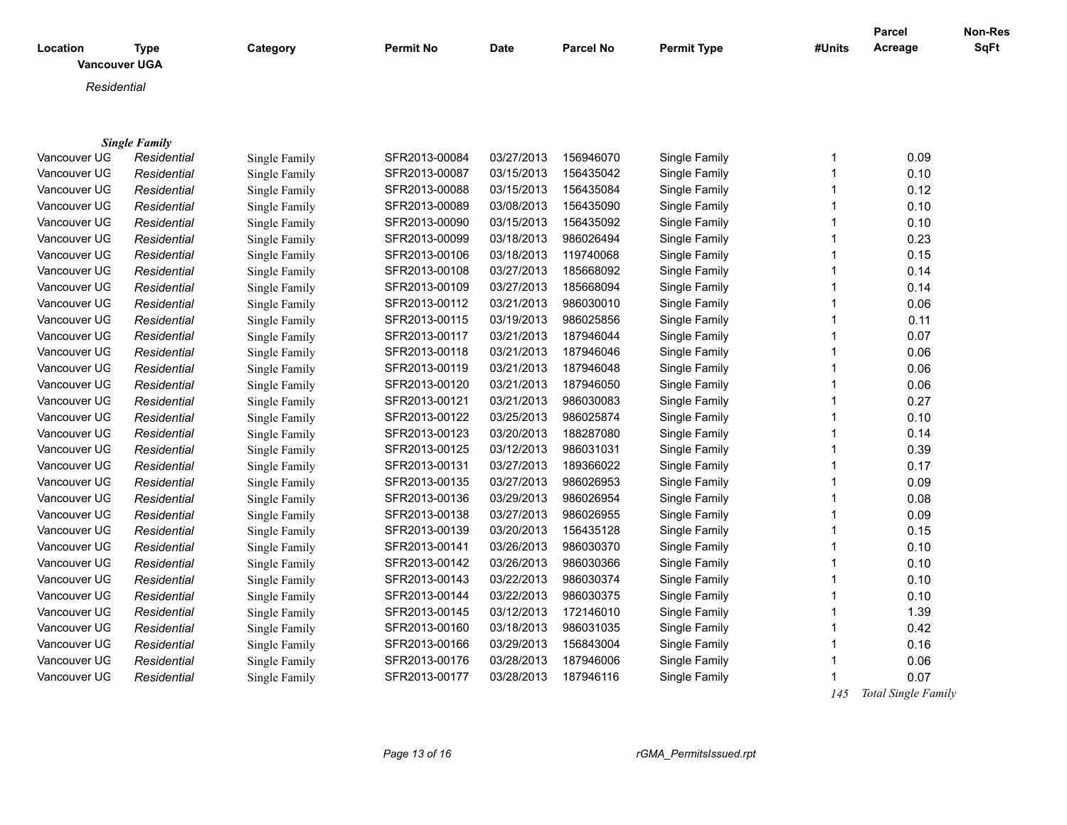|                                  |                      |               |               |             | <b>Parcel No</b> | <b>Permit Type</b> |        | <b>Parcel</b><br>Acreage | Non-Res<br>SqFt |
|----------------------------------|----------------------|---------------|---------------|-------------|------------------|--------------------|--------|--------------------------|-----------------|
| Location<br><b>Vancouver UGA</b> | <b>Type</b>          | Category      | Permit No     | <b>Date</b> |                  |                    | #Units |                          |                 |
|                                  |                      |               |               |             |                  |                    |        |                          |                 |
| Residential                      |                      |               |               |             |                  |                    |        |                          |                 |
|                                  |                      |               |               |             |                  |                    |        |                          |                 |
|                                  | <b>Single Family</b> |               |               |             |                  |                    |        |                          |                 |
| Vancouver UG                     | Residential          | Single Family | SFR2013-00084 | 03/27/2013  | 156946070        | Single Family      | 1      | 0.09                     |                 |
| Vancouver UG                     | Residential          | Single Family | SFR2013-00087 | 03/15/2013  | 156435042        | Single Family      | 1      | 0.10                     |                 |
| Vancouver UG                     | Residential          | Single Family | SFR2013-00088 | 03/15/2013  | 156435084        | Single Family      | 1      | 0.12                     |                 |
| Vancouver UG                     | Residential          | Single Family | SFR2013-00089 | 03/08/2013  | 156435090        | Single Family      | 1      | 0.10                     |                 |
| Vancouver UG                     | Residential          | Single Family | SFR2013-00090 | 03/15/2013  | 156435092        | Single Family      | 1      | 0.10                     |                 |
| Vancouver UG                     | Residential          | Single Family | SFR2013-00099 | 03/18/2013  | 986026494        | Single Family      | 1      | 0.23                     |                 |
| Vancouver UG                     | Residential          | Single Family | SFR2013-00106 | 03/18/2013  | 119740068        | Single Family      | 1      | 0.15                     |                 |
| Vancouver UG                     | Residential          | Single Family | SFR2013-00108 | 03/27/2013  | 185668092        | Single Family      | 1      | 0.14                     |                 |
| Vancouver UG                     | Residential          | Single Family | SFR2013-00109 | 03/27/2013  | 185668094        | Single Family      | 1      | 0.14                     |                 |
| Vancouver UG                     | Residential          | Single Family | SFR2013-00112 | 03/21/2013  | 986030010        | Single Family      | 1      | 0.06                     |                 |
| Vancouver UG                     | Residential          | Single Family | SFR2013-00115 | 03/19/2013  | 986025856        | Single Family      | 1      | 0.11                     |                 |
| Vancouver UG                     | Residential          | Single Family | SFR2013-00117 | 03/21/2013  | 187946044        | Single Family      | 1      | 0.07                     |                 |
| Vancouver UG                     | Residential          | Single Family | SFR2013-00118 | 03/21/2013  | 187946046        | Single Family      | 1      | 0.06                     |                 |
| Vancouver UG                     | Residential          | Single Family | SFR2013-00119 | 03/21/2013  | 187946048        | Single Family      | 1      | 0.06                     |                 |
| Vancouver UG                     | Residential          | Single Family | SFR2013-00120 | 03/21/2013  | 187946050        | Single Family      | 1      | 0.06                     |                 |
| Vancouver UG                     | Residential          | Single Family | SFR2013-00121 | 03/21/2013  | 986030083        | Single Family      | 1      | 0.27                     |                 |
| Vancouver UG                     | Residential          | Single Family | SFR2013-00122 | 03/25/2013  | 986025874        | Single Family      | 1      | 0.10                     |                 |
| Vancouver UG                     | Residential          | Single Family | SFR2013-00123 | 03/20/2013  | 188287080        | Single Family      | 1      | 0.14                     |                 |
| Vancouver UG                     | Residential          | Single Family | SFR2013-00125 | 03/12/2013  | 986031031        | Single Family      | 1      | 0.39                     |                 |
| Vancouver UG                     | Residential          | Single Family | SFR2013-00131 | 03/27/2013  | 189366022        | Single Family      | 1      | 0.17                     |                 |
| Vancouver UG                     | Residential          | Single Family | SFR2013-00135 | 03/27/2013  | 986026953        | Single Family      | 1      | 0.09                     |                 |
| Vancouver UG                     | Residential          | Single Family | SFR2013-00136 | 03/29/2013  | 986026954        | Single Family      | 1      | 0.08                     |                 |
| Vancouver UG                     | Residential          | Single Family | SFR2013-00138 | 03/27/2013  | 986026955        | Single Family      | 1      | 0.09                     |                 |
| Vancouver UG                     | Residential          | Single Family | SFR2013-00139 | 03/20/2013  | 156435128        | Single Family      | 1      | 0.15                     |                 |
| Vancouver UG                     | Residential          | Single Family | SFR2013-00141 | 03/26/2013  | 986030370        | Single Family      | 1      | 0.10                     |                 |
| Vancouver UG                     | Residential          | Single Family | SFR2013-00142 | 03/26/2013  | 986030366        | Single Family      | 1      | 0.10                     |                 |
| Vancouver UG                     | Residential          | Single Family | SFR2013-00143 | 03/22/2013  | 986030374        | Single Family      | 1      | 0.10                     |                 |
| Vancouver UG                     | Residential          | Single Family | SFR2013-00144 | 03/22/2013  | 986030375        | Single Family      | 1      | 0.10                     |                 |
| Vancouver UG                     | Residential          | Single Family | SFR2013-00145 | 03/12/2013  | 172146010        | Single Family      | 1      | 1.39                     |                 |
| Vancouver UG                     | Residential          | Single Family | SFR2013-00160 | 03/18/2013  | 986031035        | Single Family      | 1      | 0.42                     |                 |
| Vancouver UG                     | Residential          | Single Family | SFR2013-00166 | 03/29/2013  | 156843004        | Single Family      | 1      | 0.16                     |                 |
| Vancouver UG                     | Residential          | Single Family | SFR2013-00176 | 03/28/2013  | 187946006        | Single Family      | 1      | 0.06                     |                 |
| Vancouver UG                     | Residential          | Single Family | SFR2013-00177 | 03/28/2013  | 187946116        | Single Family      | 1      | 0.07                     |                 |
|                                  |                      |               |               |             |                  |                    |        |                          |                 |

 *145 Total Single Family*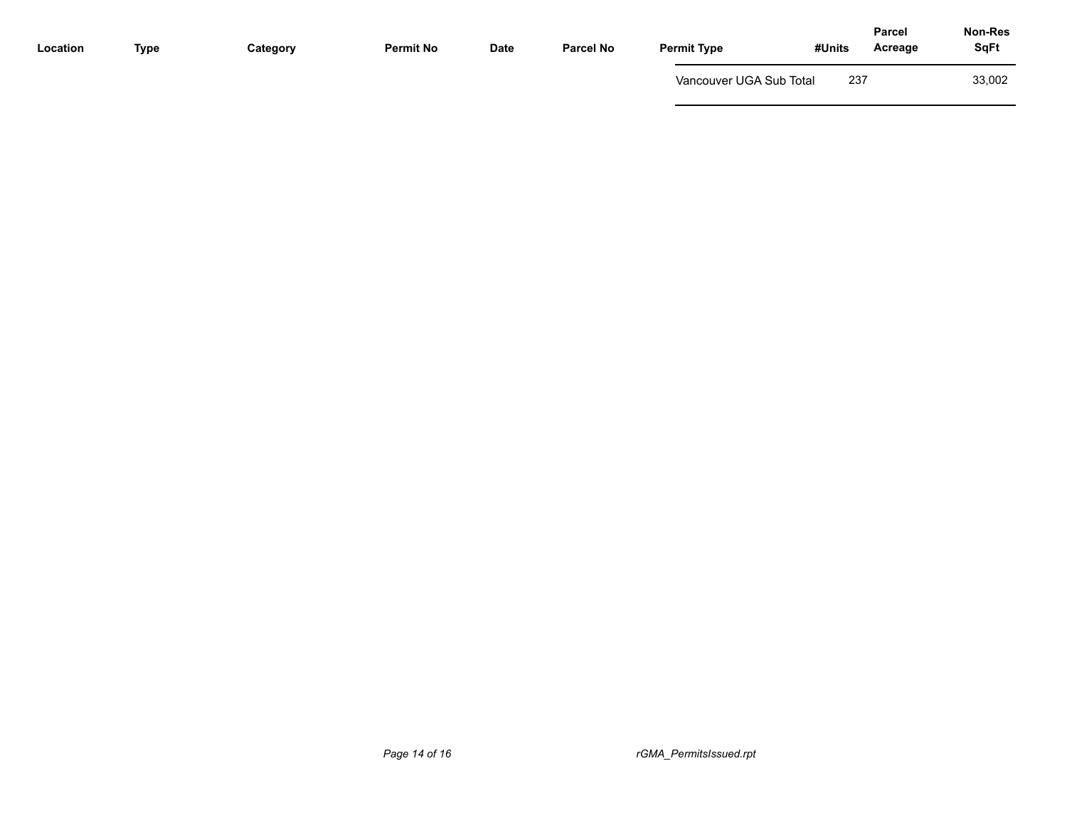| Location | Type | Category | <b>Permit No</b> | <b>Date</b> | <b>Parcel No</b> | <b>Permit Type</b>      | #Units | Acreage | <b>SqFt</b> |
|----------|------|----------|------------------|-------------|------------------|-------------------------|--------|---------|-------------|
|          |      |          |                  |             |                  | Vancouver UGA Sub Total | 237    |         | 33,002      |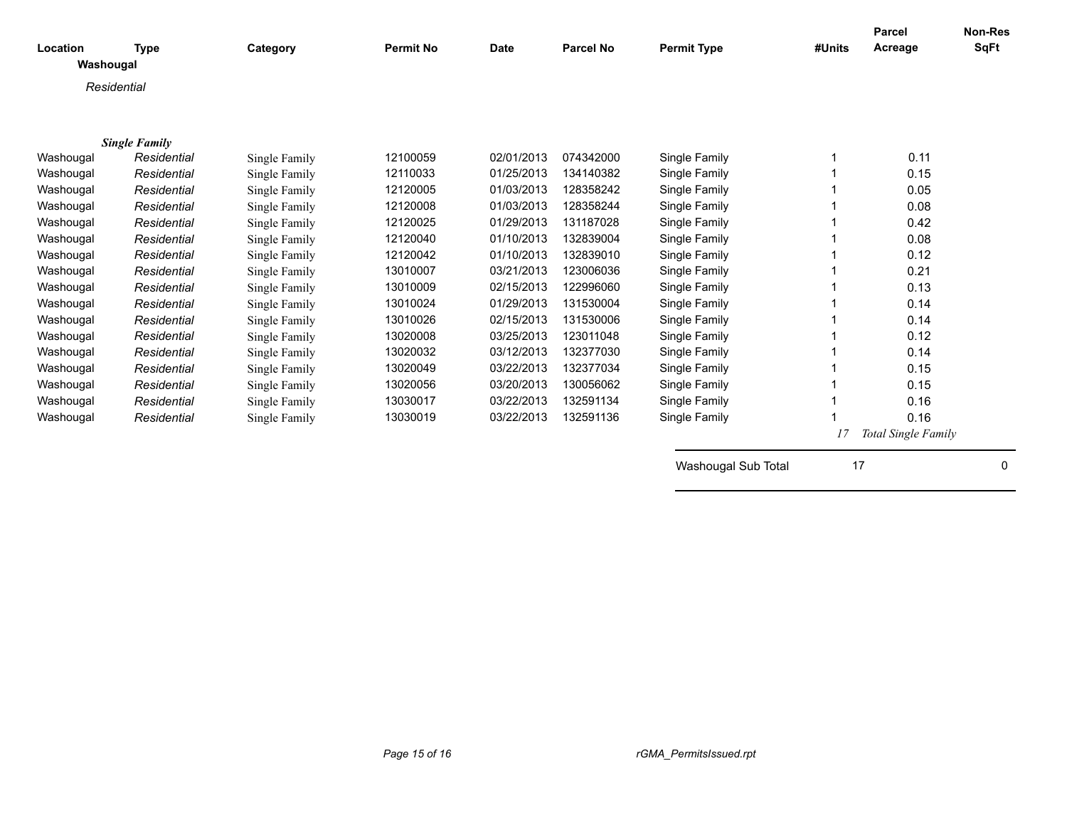| Location  | <b>Type</b>          | Category      | <b>Permit No</b> | <b>Date</b> | <b>Parcel No</b> | <b>Permit Type</b>  | #Units | Parcel<br>Acreage   | <b>Non-Res</b><br><b>SqFt</b> |
|-----------|----------------------|---------------|------------------|-------------|------------------|---------------------|--------|---------------------|-------------------------------|
| Washougal |                      |               |                  |             |                  |                     |        |                     |                               |
|           | Residential          |               |                  |             |                  |                     |        |                     |                               |
|           |                      |               |                  |             |                  |                     |        |                     |                               |
|           |                      |               |                  |             |                  |                     |        |                     |                               |
|           | <b>Single Family</b> |               |                  |             |                  |                     |        |                     |                               |
| Washougal | Residential          | Single Family | 12100059         | 02/01/2013  | 074342000        | Single Family       |        | 0.11                |                               |
| Washougal | Residential          | Single Family | 12110033         | 01/25/2013  | 134140382        | Single Family       |        | 0.15                |                               |
| Washougal | Residential          | Single Family | 12120005         | 01/03/2013  | 128358242        | Single Family       |        | 0.05                |                               |
| Washougal | Residential          | Single Family | 12120008         | 01/03/2013  | 128358244        | Single Family       |        | 0.08                |                               |
| Washougal | Residential          | Single Family | 12120025         | 01/29/2013  | 131187028        | Single Family       |        | 0.42                |                               |
| Washougal | Residential          | Single Family | 12120040         | 01/10/2013  | 132839004        | Single Family       |        | 0.08                |                               |
| Washougal | Residential          | Single Family | 12120042         | 01/10/2013  | 132839010        | Single Family       |        | 0.12                |                               |
| Washougal | Residential          | Single Family | 13010007         | 03/21/2013  | 123006036        | Single Family       |        | 0.21                |                               |
| Washougal | Residential          | Single Family | 13010009         | 02/15/2013  | 122996060        | Single Family       |        | 0.13                |                               |
| Washougal | Residential          | Single Family | 13010024         | 01/29/2013  | 131530004        | Single Family       |        | 0.14                |                               |
| Washougal | Residential          | Single Family | 13010026         | 02/15/2013  | 131530006        | Single Family       |        | 0.14                |                               |
| Washougal | Residential          | Single Family | 13020008         | 03/25/2013  | 123011048        | Single Family       |        | 0.12                |                               |
| Washougal | Residential          | Single Family | 13020032         | 03/12/2013  | 132377030        | Single Family       |        | 0.14                |                               |
| Washougal | Residential          | Single Family | 13020049         | 03/22/2013  | 132377034        | Single Family       |        | 0.15                |                               |
| Washougal | Residential          | Single Family | 13020056         | 03/20/2013  | 130056062        | Single Family       |        | 0.15                |                               |
| Washougal | Residential          | Single Family | 13030017         | 03/22/2013  | 132591134        | Single Family       |        | 0.16                |                               |
| Washougal | Residential          | Single Family | 13030019         | 03/22/2013  | 132591136        | Single Family       |        | 0.16                |                               |
|           |                      |               |                  |             |                  |                     | 17     | Total Single Family |                               |
|           |                      |               |                  |             |                  |                     |        |                     |                               |
|           |                      |               |                  |             |                  | Washougal Sub Total | 17     |                     | 0                             |
|           |                      |               |                  |             |                  |                     |        |                     |                               |